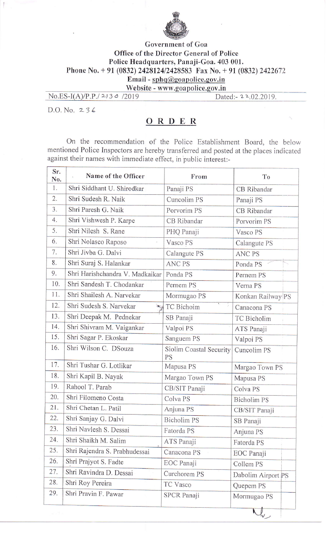

## Government of Goa Office of the Director General of Police Police Headquarters, Panaji-Goa, 403 001. Phone No. + 91 (0832) 2428124/2428583 Fax No. + 91 (0832) 2422672 Email -  $sphq@goa police.gov.in$

Website - www.goapolice.gov.in<br> $2019$  Dated:-  $22.02.2019$ .

 $No.ES-I(A)/P.P./2130/2019$ 

D.O.No.234

## ORDER

On the recommendation of the Police Establishrnent Board, the below mentioned Police Inspectors are hereby transferred and posted at the places indicated against their names with immediate effect, in public interest:-

| Sr.<br>No.       | Name of the Officer                    | From                          | T <sub>o</sub>      |
|------------------|----------------------------------------|-------------------------------|---------------------|
| 1.               | Shri Siddhant U. Shirodkar             | Panaji PS                     | CB Ribandar         |
| $\overline{2}$ . | Shri Sudesh R. Naik                    | Cuncolim PS                   | Panaji PS           |
| 3.               | Shri Paresh G. Naik                    | Porvorim PS                   | CB Ribandar         |
| 4.               | Shri Vishwesh P. Karpe                 | CB Ribandar                   | Porvorim PS         |
| 5.               | Shri Nilesh S. Rane                    | PHQ Panaji                    | Vasco PS            |
| 6.               | Shri Nolasco Raposo                    | Vasco PS                      | Calangute PS        |
| 7.               | Shri Jivba G. Dalvi                    | Calangute PS                  | <b>ANC PS</b>       |
| 8.               | Shri Suraj S. Halankar                 | ANC PS                        | Ponda PS            |
| 9.               | Shri Harishchandra V. Madkaikar        | Ponda PS                      | Pernem PS           |
| 10.              | Shri Sandesh T. Chodankar              | Pernem PS                     | Verna PS            |
| 11.              | Shri Shailesh A. Narvekar              | Mormugao PS                   | Konkan Railway PS   |
| 12.              | Shri Sudesh S. Narvekar<br><b>REGA</b> | TC Bichoim<br>ma a            | Canacona PS         |
| 13.              | Shri Deepak M. Pednekar                | SB Panaji                     | TC Bicholim         |
| 14.              | Shri Shivram M. Vaigankar              | Valpoi PS                     | ATS Panaji          |
| 15.              | Shri Sagar P. Ekoskar                  | Sanguem PS                    | Valpoi PS           |
| 16.              | Shri Wilson C. DSouza                  | Siolim Coastal Security<br>PS | Cuncolim PS         |
| 17.              | Shri Tushar G. Lotlikar                | Mapusa PS                     | Margao Town PS      |
| 18.              | Shri Kapil B. Nayak                    | Margao Town PS                | Mapusa PS           |
| 19.              | Rahool T. Parab                        | CB/SIT Panaji                 | Colva <sub>PS</sub> |
| 20.              | Shri Filomeno Costa                    | Colva <sub>PS</sub>           | <b>Bicholim PS</b>  |
| 21.              | Shri Chetan L. Patil                   | Anjuna PS                     | CB/SIT Panaji       |
| 22.              | Shri Sanjay G. Dalvi                   | Bicholim PS                   | SB Panaji           |
| 23.              | Shri Navlesh S. Dessai                 | Fatorda PS                    | Anjuna PS           |
| 24.              | Shri Shaikh M. Salim                   | ATS Panaji                    | Fatorda PS          |
| 25.              | Shri Rajendra S. Prabhudessai          | Canacona PS                   | EOC Panaji          |
| 26.              | Shri Prajyot S. Fadte                  | EOC Panaji                    | Collem PS           |
| 27.              | Shri Ravindra D. Dessai                | Curchorem PS                  | Dabolim Airport PS  |
| 28.              | Shri Roy Pereira                       | TC Vasco                      | Quepem PS           |
| 29.              | Shri Pravin F. Pawar                   | <b>SPCR Panaji</b>            | Mormugao PS         |
|                  |                                        |                               |                     |